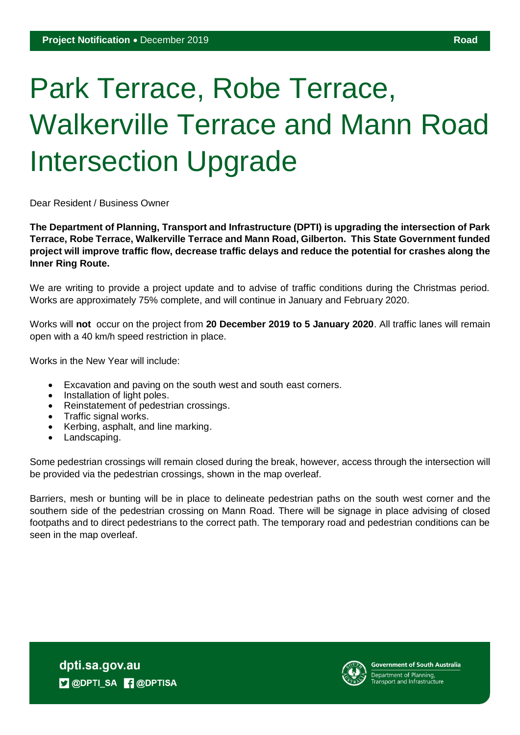## Park Terrace, Robe Terrace, Walkerville Terrace and Mann Road Intersection Upgrade

Dear Resident / Business Owner

**The Department of Planning, Transport and Infrastructure (DPTI) is upgrading the intersection of Park Terrace, Robe Terrace, Walkerville Terrace and Mann Road, Gilberton. This State Government funded project will improve traffic flow, decrease traffic delays and reduce the potential for crashes along the Inner Ring Route.** 

We are writing to provide a project update and to advise of traffic conditions during the Christmas period. Works are approximately 75% complete, and will continue in January and February 2020.

Works will **not** occur on the project from **20 December 2019 to 5 January 2020**. All traffic lanes will remain open with a 40 km/h speed restriction in place.

Works in the New Year will include:

- Excavation and paving on the south west and south east corners.
- Installation of light poles.
- Reinstatement of pedestrian crossings.
- Traffic signal works.
- Kerbing, asphalt, and line marking.
- Landscaping.

Some pedestrian crossings will remain closed during the break, however, access through the intersection will be provided via the pedestrian crossings, shown in the map overleaf.

Barriers, mesh or bunting will be in place to delineate pedestrian paths on the south west corner and the southern side of the pedestrian crossing on Mann Road. There will be signage in place advising of closed footpaths and to direct pedestrians to the correct path. The temporary road and pedestrian conditions can be seen in the map overleaf.

dpti.sa.gov.au **D** @DPTI\_SA **R** @DPTISA



**Government of South Australia**